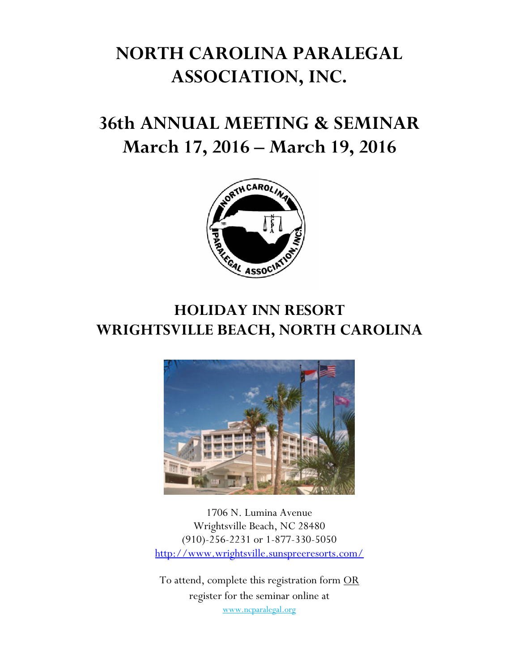# **NORTH CAROLINA PARALEGAL ASSOCIATION, INC.**

# **36th ANNUAL MEETING & SEMINAR March 17, 2016 – March 19, 2016**



# **HOLIDAY INN RESORT WRIGHTSVILLE BEACH, NORTH CAROLINA**



1706 N. Lumina Avenue Wrightsville Beach, NC 28480 (910)-256-2231 or 1-877-330-5050 http://www.wrightsville.sunspreeresorts.com/

To attend, complete this registration form OR register for the seminar online at www.ncparalegal.org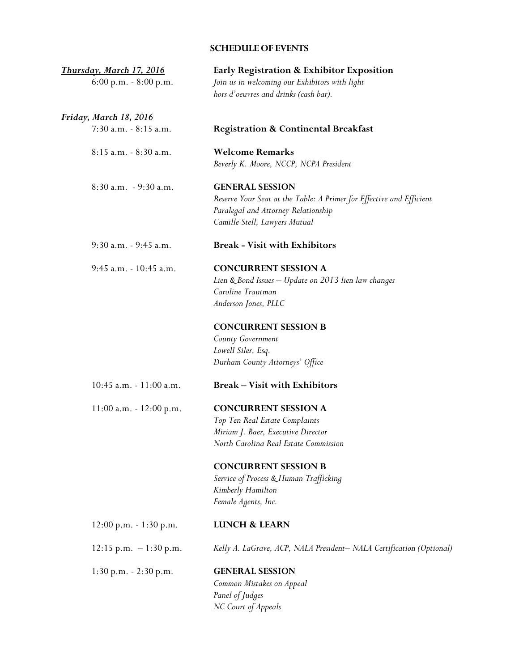# **SCHEDULE OF EVENTS**

| Thursday, March 17, 2016      | Early Registration & Exhibitor Exposition                                                                                                                                   |  |  |
|-------------------------------|-----------------------------------------------------------------------------------------------------------------------------------------------------------------------------|--|--|
| $6:00$ p.m. $-8:00$ p.m.      | Join us in welcoming our Exhibitors with light<br>hors d'oeuvres and drinks (cash bar).                                                                                     |  |  |
| <u>Friday, March 18, 2016</u> |                                                                                                                                                                             |  |  |
| 7:30 a.m. - 8:15 a.m.         | <b>Registration &amp; Continental Breakfast</b>                                                                                                                             |  |  |
| 8:15 a.m. - 8:30 a.m.         | <b>Welcome Remarks</b><br>Beverly K. Moore, NCCP, NCPA President                                                                                                            |  |  |
| 8:30 a.m. - 9:30 a.m.         | <b>GENERAL SESSION</b><br>Reserve Your Seat at the Table: A Primer for Effective and Efficient<br>Paralegal and Attorney Relationship<br>Camille Stell, Lawyers Mutual      |  |  |
| 9:30 a.m. - 9:45 a.m.         | <b>Break - Visit with Exhibitors</b>                                                                                                                                        |  |  |
| 9:45 a.m. - 10:45 a.m.        | <b>CONCURRENT SESSION A</b><br>Lien & Bond Issues - Update on 2013 lien law changes<br>Caroline Trautman<br>Anderson Jones, PLLC                                            |  |  |
|                               | <b>CONCURRENT SESSION B</b><br>County Government<br>Lowell Siler, Esq.<br>Durham County Attorneys' Office                                                                   |  |  |
| $10:45$ a.m. $-11:00$ a.m.    | <b>Break – Visit with Exhibitors</b>                                                                                                                                        |  |  |
| $11:00$ a.m. $-12:00$ p.m.    | <b>CONCURRENT SESSION A</b><br>Top Ten Real Estate Complaints<br>Miriam J. Baer, Executive Director<br>North Carolina Real Estate Commission<br><b>CONCURRENT SESSION B</b> |  |  |
|                               | Service of Process & Human Trafficking<br>Kimberly Hamilton<br>Female Agents, Inc.                                                                                          |  |  |
| $12:00$ p.m. $-1:30$ p.m.     | <b>LUNCH &amp; LEARN</b>                                                                                                                                                    |  |  |
| $12:15$ p.m. $-1:30$ p.m.     | Kelly A. LaGrave, ACP, NALA President-NALA Certification (Optional)                                                                                                         |  |  |
| $1:30$ p.m. $-2:30$ p.m.      | <b>GENERAL SESSION</b><br>Common Mistakes on Appeal<br>Panel of Judges<br>NC Court of Appeals                                                                               |  |  |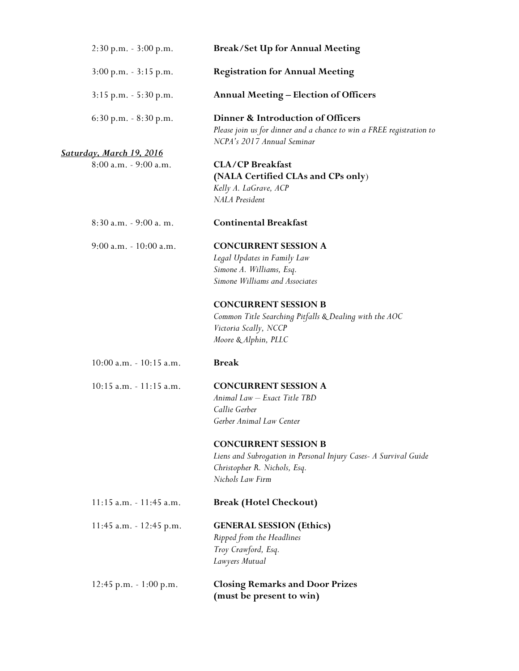| $2:30$ p.m. $-3:00$ p.m.        | <b>Break/Set Up for Annual Meeting</b>                                                                                                              |  |  |
|---------------------------------|-----------------------------------------------------------------------------------------------------------------------------------------------------|--|--|
| $3:00$ p.m. $-3:15$ p.m.        | <b>Registration for Annual Meeting</b>                                                                                                              |  |  |
| $3:15$ p.m. $-5:30$ p.m.        | <b>Annual Meeting – Election of Officers</b>                                                                                                        |  |  |
| $6:30$ p.m. $-8:30$ p.m.        | Dinner & Introduction of Officers<br>Please join us for dinner and a chance to win a FREE registration to<br>NCPA's 2017 Annual Seminar             |  |  |
| <u>Saturday, March 19, 2016</u> |                                                                                                                                                     |  |  |
| 8:00 a.m. - 9:00 a.m.           | <b>CLA/CP Breakfast</b><br>(NALA Certified CLAs and CPs only)<br>Kelly A. LaGrave, ACP<br>NALA President                                            |  |  |
| 8:30 a.m. - 9:00 a.m.           | <b>Continental Breakfast</b>                                                                                                                        |  |  |
| 9:00 a.m. - 10:00 a.m.          | <b>CONCURRENT SESSION A</b><br>Legal Updates in Family Law<br>Simone A. Williams, Esq.<br>Simone Williams and Associates                            |  |  |
|                                 | <b>CONCURRENT SESSION B</b><br>Common Title Searching Pitfalls & Dealing with the AOC<br>Victoria Scally, NCCP<br>Moore & Alphin, PLLC              |  |  |
| $10:00$ a.m. $-10:15$ a.m.      | <b>Break</b>                                                                                                                                        |  |  |
| 10:15 a.m. - 11:15 a.m.         | <b>CONCURRENT SESSION A</b><br>Animal Law - Exact Title TBD<br>Callie Gerber<br>Gerber Animal Law Center                                            |  |  |
|                                 | <b>CONCURRENT SESSION B</b><br>Liens and Subrogation in Personal Injury Cases- A Survival Guide<br>Christopher R. Nichols, Esq.<br>Nichols Law Firm |  |  |
| $11:15$ a.m. $-11:45$ a.m.      | <b>Break (Hotel Checkout)</b>                                                                                                                       |  |  |
| 11:45 a.m. - 12:45 p.m.         | <b>GENERAL SESSION (Ethics)</b><br>Ripped from the Headlines<br>Troy Crawford, Esq.<br>Lawyers Mutual                                               |  |  |
| $12:45$ p.m. $-1:00$ p.m.       | <b>Closing Remarks and Door Prizes</b><br>(must be present to win)                                                                                  |  |  |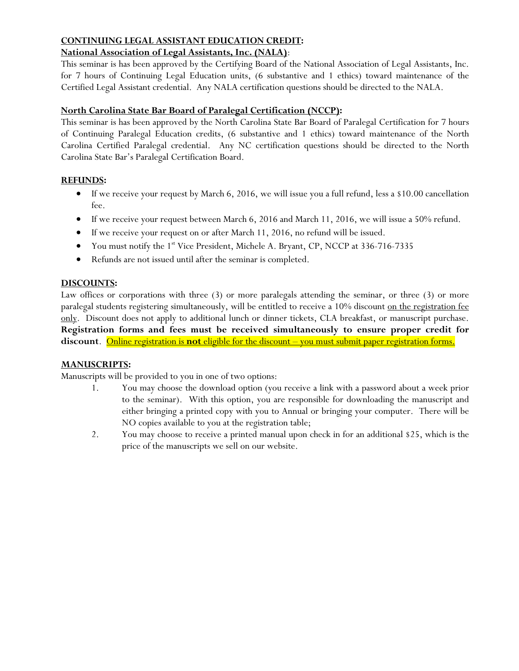## **CONTINUING LEGAL ASSISTANT EDUCATION CREDIT:**

## **National Association of Legal Assistants, Inc. (NALA)**:

This seminar is has been approved by the Certifying Board of the National Association of Legal Assistants, Inc. for 7 hours of Continuing Legal Education units, (6 substantive and 1 ethics) toward maintenance of the Certified Legal Assistant credential. Any NALA certification questions should be directed to the NALA.

#### **North Carolina State Bar Board of Paralegal Certification (NCCP):**

This seminar is has been approved by the North Carolina State Bar Board of Paralegal Certification for 7 hours of Continuing Paralegal Education credits, (6 substantive and 1 ethics) toward maintenance of the North Carolina Certified Paralegal credential. Any NC certification questions should be directed to the North Carolina State Bar's Paralegal Certification Board.

#### **REFUNDS:**

- If we receive your request by March 6, 2016, we will issue you a full refund, less a \$10.00 cancellation fee.
- If we receive your request between March 6, 2016 and March 11, 2016, we will issue a 50% refund.
- If we receive your request on or after March 11, 2016, no refund will be issued.
- You must notify the 1<sup>st</sup> Vice President, Michele A. Bryant, CP, NCCP at 336-716-7335
- Refunds are not issued until after the seminar is completed.

#### **DISCOUNTS:**

Law offices or corporations with three (3) or more paralegals attending the seminar, or three (3) or more paralegal students registering simultaneously, will be entitled to receive a 10% discount on the registration fee only. Discount does not apply to additional lunch or dinner tickets, CLA breakfast, or manuscript purchase. **Registration forms and fees must be received simultaneously to ensure proper credit for discount**. Online registration is **not** eligible for the discount – you must submit paper registration forms.

## **MANUSCRIPTS:**

Manuscripts will be provided to you in one of two options:

- 1. You may choose the download option (you receive a link with a password about a week prior to the seminar). With this option, you are responsible for downloading the manuscript and either bringing a printed copy with you to Annual or bringing your computer. There will be NO copies available to you at the registration table;
- 2. You may choose to receive a printed manual upon check in for an additional \$25, which is the price of the manuscripts we sell on our website.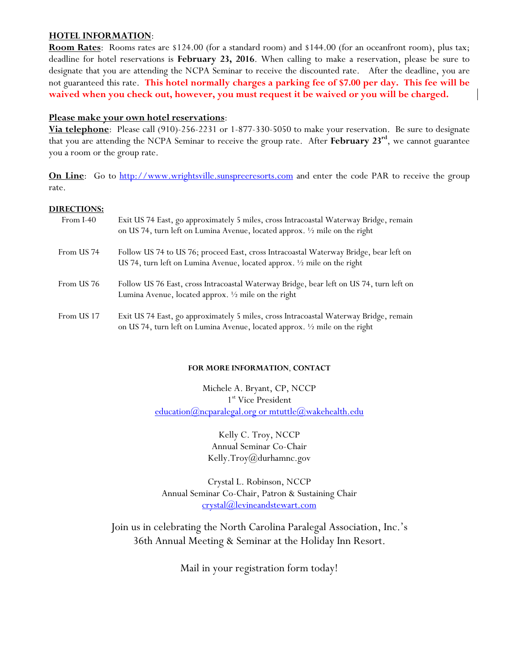#### **HOTEL INFORMATION**:

**Room Rates**: Rooms rates are \$124.00 (for a standard room) and \$144.00 (for an oceanfront room), plus tax; deadline for hotel reservations is **February 23, 2016**. When calling to make a reservation, please be sure to designate that you are attending the NCPA Seminar to receive the discounted rate. After the deadline, you are not guaranteed this rate. **This hotel normally charges a parking fee of \$7.00 per day. This fee will be waived when you check out, however, you must request it be waived or you will be charged.**

#### **Please make your own hotel reservations**:

**Via telephone**: Please call (910)-256-2231 or 1-877-330-5050 to make your reservation. Be sure to designate that you are attending the NCPA Seminar to receive the group rate. After **February 23rd**, we cannot guarantee you a room or the group rate.

**On Line**: Go to http://www.wrightsville.sunspreeresorts.com and enter the code PAR to receive the group rate.

#### **DIRECTIONS:**

| From I-40  | Exit US 74 East, go approximately 5 miles, cross Intracoastal Waterway Bridge, remain<br>on US 74, turn left on Lumina Avenue, located approx. 1/2 mile on the right |
|------------|----------------------------------------------------------------------------------------------------------------------------------------------------------------------|
| From US 74 | Follow US 74 to US 76; proceed East, cross Intracoastal Waterway Bridge, bear left on<br>US 74, turn left on Lumina Avenue, located approx. 1/2 mile on the right    |
| From US 76 | Follow US 76 East, cross Intracoastal Waterway Bridge, bear left on US 74, turn left on<br>Lumina Avenue, located approx. $\frac{1}{2}$ mile on the right            |
| From US 17 | Exit US 74 East, go approximately 5 miles, cross Intracoastal Waterway Bridge, remain<br>on US 74, turn left on Lumina Avenue, located approx. 1/2 mile on the right |

#### **FOR MORE INFORMATION**, **CONTACT**

Michele A. Bryant, CP, NCCP 1<sup>st</sup> Vice President  $eduction@ncparalegal.org$  or  $muttle@wakehealth.edu$ 

> Kelly C. Troy, NCCP Annual Seminar Co-Chair Kelly.Troy@durhamnc.gov

Crystal L. Robinson, NCCP Annual Seminar Co-Chair, Patron & Sustaining Chair crystal@levineandstewart.com

Join us in celebrating the North Carolina Paralegal Association, Inc.'s 36th Annual Meeting & Seminar at the Holiday Inn Resort.

Mail in your registration form today!